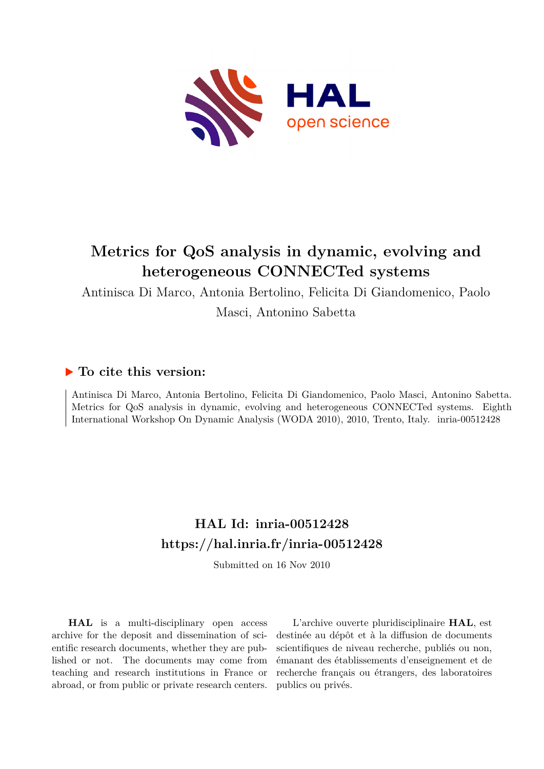

# **Metrics for QoS analysis in dynamic, evolving and heterogeneous CONNECTed systems**

Antinisca Di Marco, Antonia Bertolino, Felicita Di Giandomenico, Paolo

Masci, Antonino Sabetta

## **To cite this version:**

Antinisca Di Marco, Antonia Bertolino, Felicita Di Giandomenico, Paolo Masci, Antonino Sabetta. Metrics for QoS analysis in dynamic, evolving and heterogeneous CONNECTed systems. Eighth International Workshop On Dynamic Analysis (WODA 2010), 2010, Trento, Italy. inria-00512428

# **HAL Id: inria-00512428 <https://hal.inria.fr/inria-00512428>**

Submitted on 16 Nov 2010

**HAL** is a multi-disciplinary open access archive for the deposit and dissemination of scientific research documents, whether they are published or not. The documents may come from teaching and research institutions in France or abroad, or from public or private research centers.

L'archive ouverte pluridisciplinaire **HAL**, est destinée au dépôt et à la diffusion de documents scientifiques de niveau recherche, publiés ou non, émanant des établissements d'enseignement et de recherche français ou étrangers, des laboratoires publics ou privés.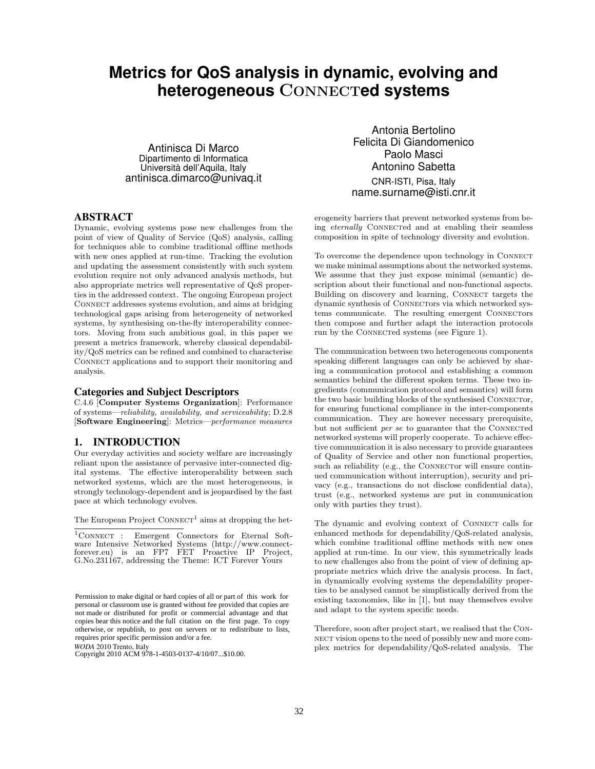## **Metrics for QoS analysis in dynamic, evolving and heterogeneous** CONNECT**ed systems**

Antinisca Di Marco Dipartimento di Informatica Università dell'Aquila, Italy antinisca.dimarco@univaq.it

## ABSTRACT

Dynamic, evolving systems pose new challenges from the point of view of Quality of Service (QoS) analysis, calling for techniques able to combine traditional offline methods with new ones applied at run-time. Tracking the evolution and updating the assessment consistently with such system evolution require not only advanced analysis methods, but also appropriate metrics well representative of QoS properties in the addressed context. The ongoing European project Connect addresses systems evolution, and aims at bridging technological gaps arising from heterogeneity of networked systems, by synthesising on-the-fly interoperability connectors. Moving from such ambitious goal, in this paper we present a metrics framework, whereby classical dependability/QoS metrics can be refined and combined to characterise CONNECT applications and to support their monitoring and analysis.

#### Categories and Subject Descriptors

C.4.6 [Computer Systems Organization]: Performance of systems—reliability, availability, and serviceability; D.2.8 [Software Engineering]: Metrics—performance measures

## 1. INTRODUCTION

Our everyday activities and society welfare are increasingly reliant upon the assistance of pervasive inter-connected digital systems. The effective interoperability between such networked systems, which are the most heterogeneous, is strongly technology-dependent and is jeopardised by the fast pace at which technology evolves.

The European Project  $\text{ConvECT}^1$  aims at dropping the het-

 ${}^{1}$ CONNECT : Emergent Connectors for Eternal Software Intensive Networked Systems (http://www.connectforever.eu) is an FP7 FET Proactive IP Project, G.No.231167, addressing the Theme: ICT Forever Yours

*WODA* 2010 Trento, Italy Copyright 2010 ACM 978-1-4503-0137-4/10/07...\$10.00.

Antonia Bertolino Felicita Di Giandomenico Paolo Masci Antonino Sabetta CNR-ISTI, Pisa, Italy name.surname@isti.cnr.it

erogeneity barriers that prevent networked systems from being *eternally* CONNECTED and at enabling their seamless composition in spite of technology diversity and evolution.

To overcome the dependence upon technology in Connect we make minimal assumptions about the networked systems. We assume that they just expose minimal (semantic) description about their functional and non-functional aspects. Building on discovery and learning, CONNECT targets the dynamic synthesis of CONNECTOrs via which networked systems communicate. The resulting emergent CONNECTOrs then compose and further adapt the interaction protocols run by the CONNECTED systems (see Figure 1).

The communication between two heterogeneous components speaking different languages can only be achieved by sharing a communication protocol and establishing a common semantics behind the different spoken terms. These two ingredients (communication protocol and semantics) will form the two basic building blocks of the synthesised CONNECTOr, for ensuring functional compliance in the inter-components communication. They are however necessary prerequisite, but not sufficient  $per se$  to guarantee that the CONNECTED networked systems will properly cooperate. To achieve effective communication it is also necessary to provide guarantees of Quality of Service and other non functional properties, such as reliability (e.g., the CONNECTOR will ensure continued communication without interruption), security and privacy (e.g., transactions do not disclose confidential data), trust (e.g., networked systems are put in communication only with parties they trust).

The dynamic and evolving context of CONNECT calls for enhanced methods for dependability/QoS-related analysis, which combine traditional offline methods with new ones applied at run-time. In our view, this symmetrically leads to new challenges also from the point of view of defining appropriate metrics which drive the analysis process. In fact, in dynamically evolving systems the dependability properties to be analysed cannot be simplistically derived from the existing taxonomies, like in [1], but may themselves evolve and adapt to the system specific needs.

Therefore, soon after project start, we realised that the Con-NECT vision opens to the need of possibly new and more complex metrics for dependability/QoS-related analysis. The

Permission to make digital or hard copies of all or part of this work for personal or classroom use is granted without fee provided that copies are not made or distributed for profit or commercial advantage and that copies bear this notice and the full citation on the first page. To copy otherwise, or republish, to post on servers or to redistribute to lists, requires prior specific permission and/or a fee.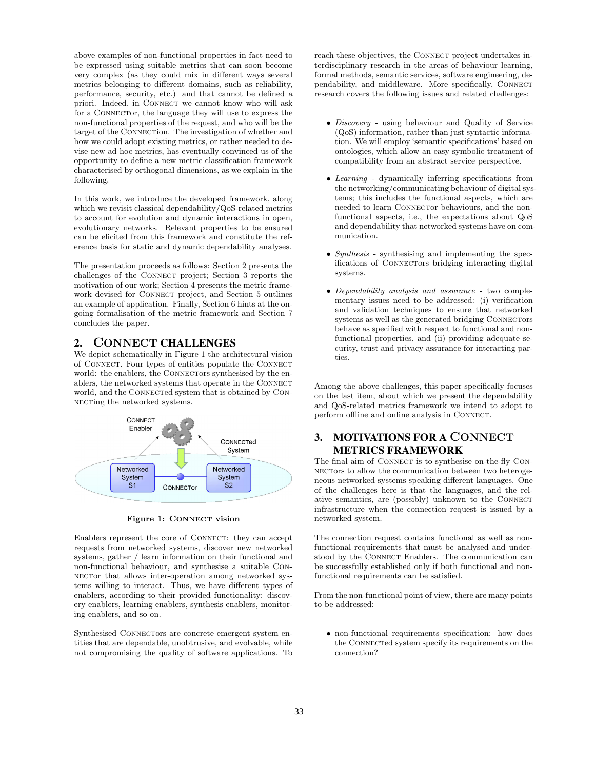above examples of non-functional properties in fact need to be expressed using suitable metrics that can soon become very complex (as they could mix in different ways several metrics belonging to different domains, such as reliability, performance, security, etc.) and that cannot be defined a priori. Indeed, in CONNECT we cannot know who will ask for a CONNECTOR, the language they will use to express the non-functional properties of the request, and who will be the target of the CONNECTion. The investigation of whether and how we could adopt existing metrics, or rather needed to devise new ad hoc metrics, has eventually convinced us of the opportunity to define a new metric classification framework characterised by orthogonal dimensions, as we explain in the following.

In this work, we introduce the developed framework, along which we revisit classical dependability/QoS-related metrics to account for evolution and dynamic interactions in open, evolutionary networks. Relevant properties to be ensured can be elicited from this framework and constitute the reference basis for static and dynamic dependability analyses.

The presentation proceeds as follows: Section 2 presents the challenges of the CONNECT project; Section 3 reports the motivation of our work; Section 4 presents the metric framework devised for CONNECT project, and Section 5 outlines an example of application. Finally, Section 6 hints at the ongoing formalisation of the metric framework and Section 7 concludes the paper.

## 2. CONNECT CHALLENGES

We depict schematically in Figure 1 the architectural vision of CONNECT. Four types of entities populate the CONNECT world: the enablers, the CONNECTORS synthesised by the enablers, the networked systems that operate in the CONNECT world, and the CONNECTED system that is obtained by CONnecting the networked systems.



Figure 1: CONNECT vision

Enablers represent the core of CONNECT: they can accept requests from networked systems, discover new networked systems, gather / learn information on their functional and non-functional behaviour, and synthesise a suitable Con-NECTOr that allows inter-operation among networked systems willing to interact. Thus, we have different types of enablers, according to their provided functionality: discovery enablers, learning enablers, synthesis enablers, monitoring enablers, and so on.

Synthesised CONNECTORs are concrete emergent system entities that are dependable, unobtrusive, and evolvable, while not compromising the quality of software applications. To reach these objectives, the CONNECT project undertakes interdisciplinary research in the areas of behaviour learning, formal methods, semantic services, software engineering, dependability, and middleware. More specifically, CONNECT research covers the following issues and related challenges:

- Discovery using behaviour and Quality of Service (QoS) information, rather than just syntactic information. We will employ 'semantic specifications' based on ontologies, which allow an easy symbolic treatment of compatibility from an abstract service perspective.
- Learning dynamically inferring specifications from the networking/communicating behaviour of digital systems; this includes the functional aspects, which are needed to learn CONNECTOr behaviours, and the nonfunctional aspects, i.e., the expectations about QoS and dependability that networked systems have on communication.
- Synthesis synthesising and implementing the specifications of CONNECTORS bridging interacting digital systems.
- Dependability analysis and assurance two complementary issues need to be addressed: (i) verification and validation techniques to ensure that networked systems as well as the generated bridging CONNECTORS behave as specified with respect to functional and nonfunctional properties, and (ii) providing adequate security, trust and privacy assurance for interacting parties.

Among the above challenges, this paper specifically focuses on the last item, about which we present the dependability and QoS-related metrics framework we intend to adopt to perform offline and online analysis in Connect.

## 3. MOTIVATIONS FOR A CONNECT METRICS FRAMEWORK

The final aim of CONNECT is to synthesise on-the-fly CON-NECTORS to allow the communication between two heterogeneous networked systems speaking different languages. One of the challenges here is that the languages, and the relative semantics, are (possibly) unknown to the CONNECT infrastructure when the connection request is issued by a networked system.

The connection request contains functional as well as nonfunctional requirements that must be analysed and understood by the CONNECT Enablers. The communication can be successfully established only if both functional and nonfunctional requirements can be satisfied.

From the non-functional point of view, there are many points to be addressed:

• non-functional requirements specification: how does the CONNECTED system specify its requirements on the connection?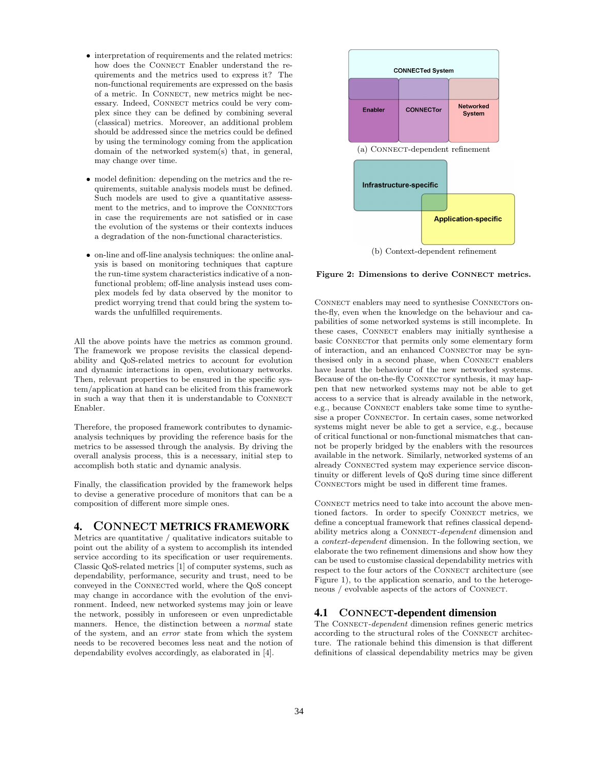- interpretation of requirements and the related metrics: how does the CONNECT Enabler understand the requirements and the metrics used to express it? The non-functional requirements are expressed on the basis of a metric. In CONNECT, new metrics might be necessary. Indeed, CONNECT metrics could be very complex since they can be defined by combining several (classical) metrics. Moreover, an additional problem should be addressed since the metrics could be defined by using the terminology coming from the application domain of the networked system(s) that, in general, may change over time.
- model definition: depending on the metrics and the requirements, suitable analysis models must be defined. Such models are used to give a quantitative assessment to the metrics, and to improve the CONNECTORS in case the requirements are not satisfied or in case the evolution of the systems or their contexts induces a degradation of the non-functional characteristics.
- on-line and off-line analysis techniques: the online analysis is based on monitoring techniques that capture the run-time system characteristics indicative of a nonfunctional problem; off-line analysis instead uses complex models fed by data observed by the monitor to predict worrying trend that could bring the system towards the unfulfilled requirements.

All the above points have the metrics as common ground. The framework we propose revisits the classical dependability and QoS-related metrics to account for evolution and dynamic interactions in open, evolutionary networks. Then, relevant properties to be ensured in the specific system/application at hand can be elicited from this framework in such a way that then it is understandable to CONNECT Enabler.

Therefore, the proposed framework contributes to dynamicanalysis techniques by providing the reference basis for the metrics to be assessed through the analysis. By driving the overall analysis process, this is a necessary, initial step to accomplish both static and dynamic analysis.

Finally, the classification provided by the framework helps to devise a generative procedure of monitors that can be a composition of different more simple ones.

## 4. CONNECT METRICS FRAMEWORK

Metrics are quantitative / qualitative indicators suitable to point out the ability of a system to accomplish its intended service according to its specification or user requirements. Classic QoS-related metrics [1] of computer systems, such as dependability, performance, security and trust, need to be conveyed in the CONNECTed world, where the QoS concept may change in accordance with the evolution of the environment. Indeed, new networked systems may join or leave the network, possibly in unforeseen or even unpredictable manners. Hence, the distinction between a normal state of the system, and an error state from which the system needs to be recovered becomes less neat and the notion of dependability evolves accordingly, as elaborated in [4].



Figure 2: Dimensions to derive CONNECT metrics.

CONNECT enablers may need to synthesise CONNECTORS onthe-fly, even when the knowledge on the behaviour and capabilities of some networked systems is still incomplete. In these cases, CONNECT enablers may initially synthesise a basic CONNECTOr that permits only some elementary form of interaction, and an enhanced CONNECTOr may be synthesised only in a second phase, when CONNECT enablers have learnt the behaviour of the new networked systems. Because of the on-the-fly CONNECTOR synthesis, it may happen that new networked systems may not be able to get access to a service that is already available in the network, e.g., because CONNECT enablers take some time to synthesise a proper CONNECTOr. In certain cases, some networked systems might never be able to get a service, e.g., because of critical functional or non-functional mismatches that cannot be properly bridged by the enablers with the resources available in the network. Similarly, networked systems of an already CONNECTed system may experience service discontinuity or different levels of QoS during time since different CONNECTORS might be used in different time frames.

CONNECT metrics need to take into account the above mentioned factors. In order to specify CONNECT metrics, we define a conceptual framework that refines classical dependability metrics along a CONNECT-dependent dimension and a context-dependent dimension. In the following section, we elaborate the two refinement dimensions and show how they can be used to customise classical dependability metrics with respect to the four actors of the CONNECT architecture (see Figure 1), to the application scenario, and to the heterogeneous / evolvable aspects of the actors of Connect.

## 4.1 CONNECT-dependent dimension

The CONNECT-dependent dimension refines generic metrics according to the structural roles of the CONNECT architecture. The rationale behind this dimension is that different definitions of classical dependability metrics may be given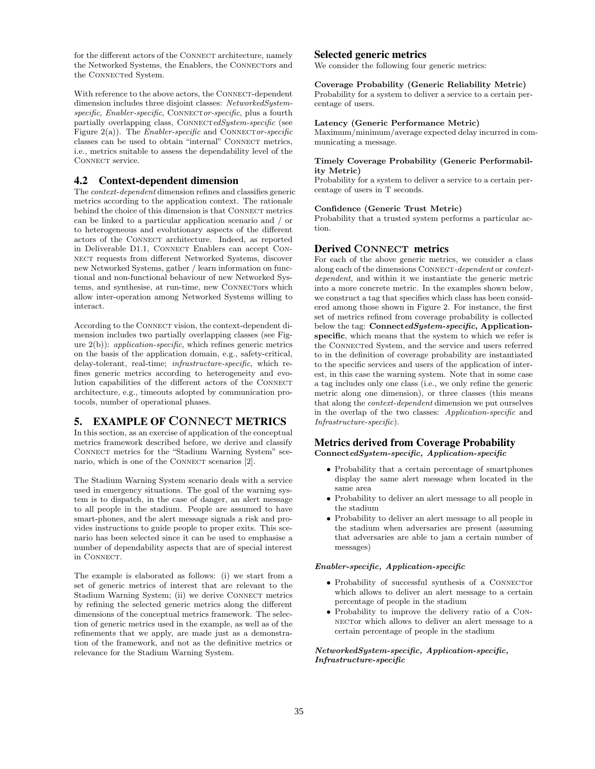for the different actors of the CONNECT architecture, namely the Networked Systems, the Enablers, the CONNECTOrs and the CONNECTed System.

With reference to the above actors, the CONNECT-dependent dimension includes three disjoint classes: NetworkedSystem $specific, Enabler-specific, CONNECT or-specific, plus a fourth$ partially overlapping class, CONNECTedSystem-specific (see Figure 2(a)). The *Enabler-specific* and CONNECTOR-specific classes can be used to obtain "internal" CONNECT metrics, i.e., metrics suitable to assess the dependability level of the CONNECT service.

#### 4.2 Context-dependent dimension

The context-dependent dimension refines and classifies generic metrics according to the application context. The rationale behind the choice of this dimension is that CONNECT metrics can be linked to a particular application scenario and / or to heterogeneous and evolutionary aspects of the different actors of the CONNECT architecture. Indeed, as reported in Deliverable D1.1, CONNECT Enablers can accept CON-NECT requests from different Networked Systems, discover new Networked Systems, gather / learn information on functional and non-functional behaviour of new Networked Systems, and synthesise, at run-time, new CONNECTORS which allow inter-operation among Networked Systems willing to interact.

According to the Connect vision, the context-dependent dimension includes two partially overlapping classes (see Figure  $2(b)$ : *application-specific*, which refines generic metrics on the basis of the application domain, e.g., safety-critical, delay-tolerant, real-time; infrastructure-specific, which refines generic metrics according to heterogeneity and evolution capabilities of the different actors of the CONNECT architecture, e.g., timeouts adopted by communication protocols, number of operational phases.

## 5. EXAMPLE OF CONNECT METRICS

In this section, as an exercise of application of the conceptual metrics framework described before, we derive and classify CONNECT metrics for the "Stadium Warning System" scenario, which is one of the CONNECT scenarios [2].

The Stadium Warning System scenario deals with a service used in emergency situations. The goal of the warning system is to dispatch, in the case of danger, an alert message to all people in the stadium. People are assumed to have smart-phones, and the alert message signals a risk and provides instructions to guide people to proper exits. This scenario has been selected since it can be used to emphasise a number of dependability aspects that are of special interest in CONNECT.

The example is elaborated as follows: (i) we start from a set of generic metrics of interest that are relevant to the Stadium Warning System; (ii) we derive CONNECT metrics by refining the selected generic metrics along the different dimensions of the conceptual metrics framework. The selection of generic metrics used in the example, as well as of the refinements that we apply, are made just as a demonstration of the framework, and not as the definitive metrics or relevance for the Stadium Warning System.

#### Selected generic metrics

We consider the following four generic metrics:

Coverage Probability (Generic Reliability Metric)

Probability for a system to deliver a service to a certain percentage of users.

#### Latency (Generic Performance Metric)

Maximum/minimum/average expected delay incurred in communicating a message.

#### Timely Coverage Probability (Generic Performability Metric)

Probability for a system to deliver a service to a certain percentage of users in T seconds.

#### Confidence (Generic Trust Metric)

Probability that a trusted system performs a particular action.

#### Derived CONNECT metrics

For each of the above generic metrics, we consider a class along each of the dimensions CONNECT-dependent or contextdependent, and within it we instantiate the generic metric into a more concrete metric. In the examples shown below, we construct a tag that specifies which class has been considered among those shown in Figure 2. For instance, the first set of metrics refined from coverage probability is collected below the tag: ConnectedSystem-specific, Applicationspecific, which means that the system to which we refer is the CONNECTed System, and the service and users referred to in the definition of coverage probability are instantiated to the specific services and users of the application of interest, in this case the warning system. Note that in some case a tag includes only one class (i.e., we only refine the generic metric along one dimension), or three classes (this means that along the context-dependent dimension we put ourselves in the overlap of the two classes: Application-specific and Infrastructure-specific).

#### Metrics derived from Coverage Probability ConnectedSystem-specific, Application-specific

- Probability that a certain percentage of smartphones display the same alert message when located in the same area
- Probability to deliver an alert message to all people in the stadium
- Probability to deliver an alert message to all people in the stadium when adversaries are present (assuming that adversaries are able to jam a certain number of messages)

#### Enabler-specific, Application-specific

- Probability of successful synthesis of a CONNECTOR which allows to deliver an alert message to a certain percentage of people in the stadium
- Probability to improve the delivery ratio of a Con-NECTOR which allows to deliver an alert message to a certain percentage of people in the stadium

NetworkedSystem-specific, Application-specific, Infrastructure-specific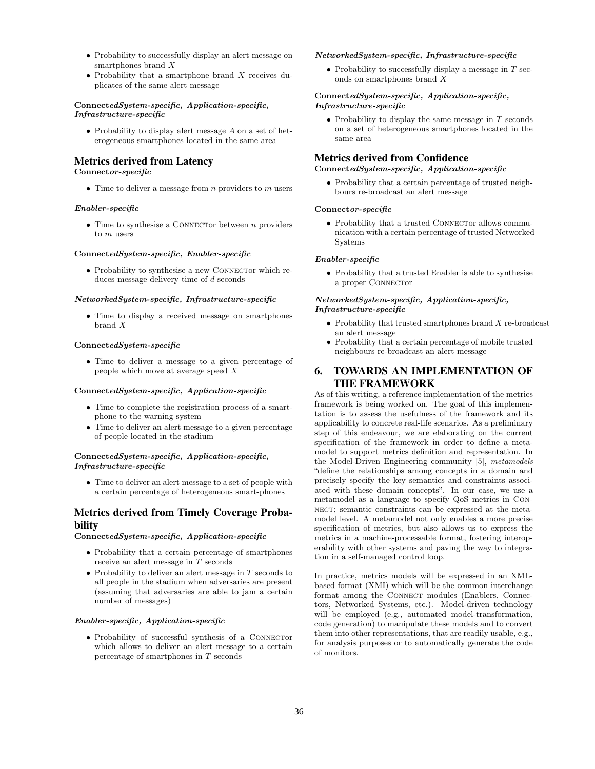- Probability to successfully display an alert message on smartphones brand X
- Probability that a smartphone brand  $X$  receives duplicates of the same alert message

#### ConnectedSystem-specific, Application-specific, Infrastructure-specific

• Probability to display alert message A on a set of heterogeneous smartphones located in the same area

## Metrics derived from Latency

Connector-specific

• Time to deliver a message from  $n$  providers to  $m$  users

#### Enabler-specific

• Time to synthesise a CONNECTOR between  $n$  providers to m users

#### ConnectedSystem-specific, Enabler-specific

• Probability to synthesise a new CONNECTOr which reduces message delivery time of d seconds

#### NetworkedSystem-specific, Infrastructure-specific

• Time to display a received message on smartphones brand X

#### ConnectedSystem-specific

• Time to deliver a message to a given percentage of people which move at average speed X

#### ConnectedSystem-specific, Application-specific

- Time to complete the registration process of a smartphone to the warning system
- Time to deliver an alert message to a given percentage of people located in the stadium

#### $\label{eq:Riccati} \textsc{ConnectedSystem-specific}, \textit{Application-specific},$ Infrastructure-specific

• Time to deliver an alert message to a set of people with a certain percentage of heterogeneous smart-phones

### Metrics derived from Timely Coverage Probability

ConnectedSystem-specific, Application-specific

- Probability that a certain percentage of smartphones receive an alert message in T seconds
- $\bullet~$  Probability to deliver an alert message in  $T$  seconds to all people in the stadium when adversaries are present (assuming that adversaries are able to jam a certain number of messages)

#### Enabler-specific, Application-specific

• Probability of successful synthesis of a CONNECTOR which allows to deliver an alert message to a certain percentage of smartphones in T seconds

#### NetworkedSystem-specific, Infrastructure-specific

• Probability to successfully display a message in  $T$  seconds on smartphones brand X

#### ConnectedSystem-specific, Application-specific, Infrastructure-specific

• Probability to display the same message in  $T$  seconds on a set of heterogeneous smartphones located in the same area

## Metrics derived from Confidence

#### ConnectedSystem-specific, Application-specific

• Probability that a certain percentage of trusted neighbours re-broadcast an alert message

#### Connector-specific

 $\bullet$  Probability that a trusted CONNECTOr allows communication with a certain percentage of trusted Networked Systems

#### Enabler-specific

• Probability that a trusted Enabler is able to synthesise a proper CONNECTOR

#### NetworkedSystem-specific, Application-specific, Infrastructure-specific

- Probability that trusted smartphones brand  $X$  re-broadcast an alert message
- Probability that a certain percentage of mobile trusted neighbours re-broadcast an alert message

## 6. TOWARDS AN IMPLEMENTATION OF THE FRAMEWORK

As of this writing, a reference implementation of the metrics framework is being worked on. The goal of this implementation is to assess the usefulness of the framework and its applicability to concrete real-life scenarios. As a preliminary step of this endeavour, we are elaborating on the current specification of the framework in order to define a metamodel to support metrics definition and representation. In the Model-Driven Engineering community [5], metamodels "define the relationships among concepts in a domain and precisely specify the key semantics and constraints associated with these domain concepts". In our case, we use a metamodel as a language to specify QoS metrics in Con-NECT; semantic constraints can be expressed at the metamodel level. A metamodel not only enables a more precise specification of metrics, but also allows us to express the metrics in a machine-processable format, fostering interoperability with other systems and paving the way to integration in a self-managed control loop.

In practice, metrics models will be expressed in an XMLbased format (XMI) which will be the common interchange format among the CONNECT modules (Enablers, Connectors, Networked Systems, etc.). Model-driven technology will be employed (e.g., automated model-transformation, code generation) to manipulate these models and to convert them into other representations, that are readily usable, e.g., for analysis purposes or to automatically generate the code of monitors.